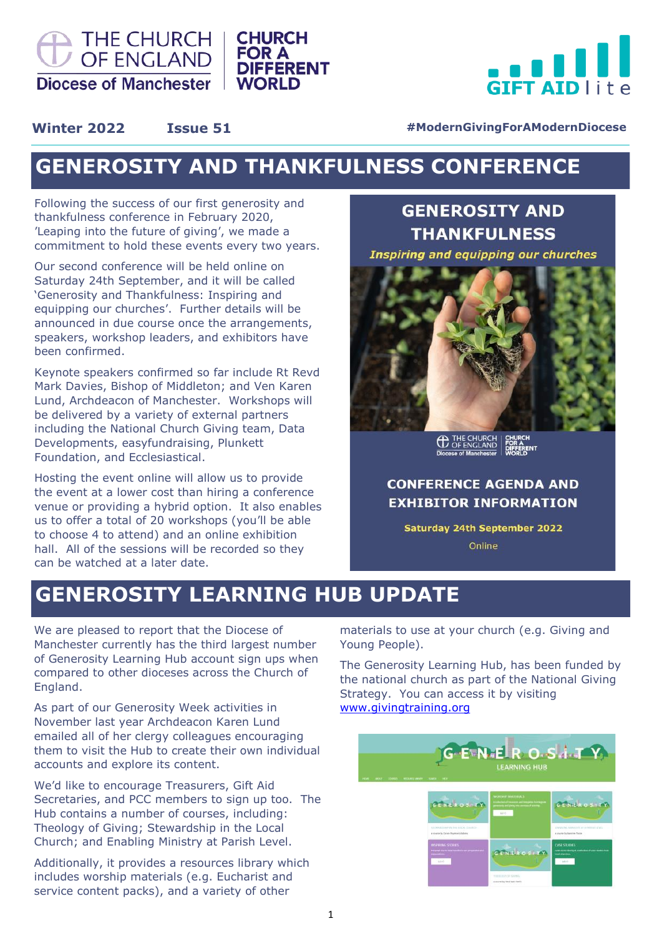



### **Winter 2022 1ssue 51 <b>Exercise S1** #ModernGivingForAModernDiocese

### **GENEROSITY AND THANKFULNESS CONFERENCE**

**FOR A** 

**WORLD** 

**DIFFERENT** 

Following the success of our first generosity and thankfulness conference in February 2020, 'Leaping into the future of giving', we made a commitment to hold these events every two years.

Our second conference will be held online on Saturday 24th September, and it will be called 'Generosity and Thankfulness: Inspiring and equipping our churches'. Further details will be announced in due course once the arrangements, speakers, workshop leaders, and exhibitors have been confirmed.

Keynote speakers confirmed so far include Rt Revd Mark Davies, Bishop of Middleton; and Ven Karen Lund, Archdeacon of Manchester. Workshops will be delivered by a variety of external partners including the National Church Giving team, Data Developments, easyfundraising, Plunkett Foundation, and Ecclesiastical.

Hosting the event online will allow us to provide the event at a lower cost than hiring a conference venue or providing a hybrid option. It also enables us to offer a total of 20 workshops (you'll be able to choose 4 to attend) and an online exhibition hall. All of the sessions will be recorded so they can be watched at a later date.

### **GENEROSITY AND THANKFULNESS**

**Inspiring and equipping our churches** 



<sup>THE CHURCH</sup>

### **CONFERENCE AGENDA AND EXHIBITOR INFORMATION**

**Saturday 24th September 2022** Online

## **GENEROSITY LEARNING HUB UPDATE**

We are pleased to report that the Diocese of Manchester currently has the third largest number of Generosity Learning Hub account sign ups when compared to other dioceses across the Church of England.

As part of our Generosity Week activities in November last year Archdeacon Karen Lund emailed all of her clergy colleagues encouraging them to visit the Hub to create their own individual accounts and explore its content.

We'd like to encourage Treasurers, Gift Aid Secretaries, and PCC members to sign up too. The Hub contains a number of courses, including: Theology of Giving; Stewardship in the Local Church; and Enabling Ministry at Parish Level.

Additionally, it provides a resources library which includes worship materials (e.g. Eucharist and service content packs), and a variety of other

materials to use at your church (e.g. Giving and Young People).

The Generosity Learning Hub, has been funded by the national church as part of the National Giving Strategy. You can access it by visiting [www.givingtraining.org](http://www.givingtraining.org)

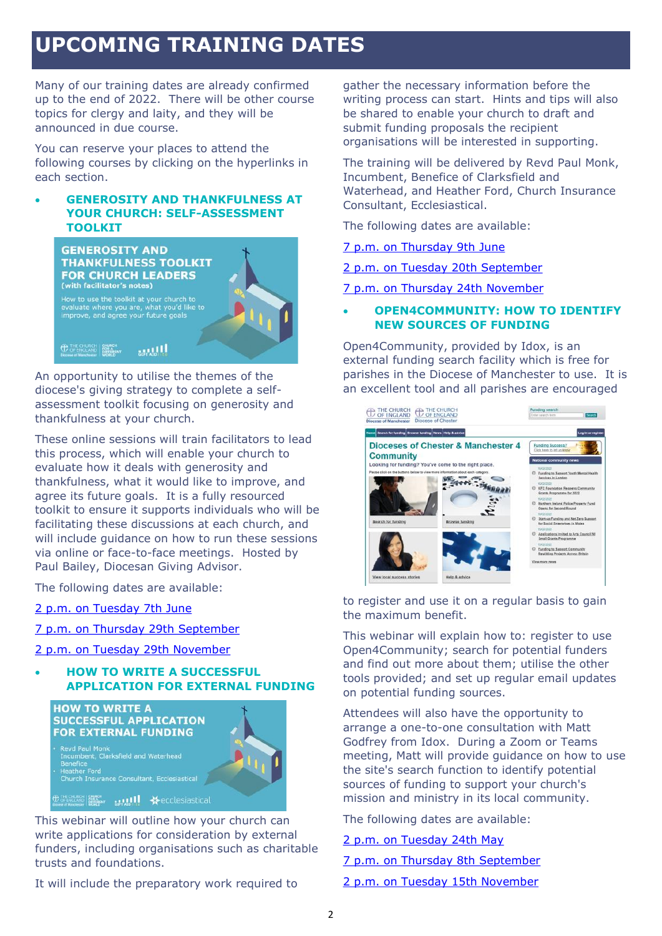# **UPCOMING TRAINING DATES**

Many of our training dates are already confirmed up to the end of 2022. There will be other course topics for clergy and laity, and they will be announced in due course.

You can reserve your places to attend the following courses by clicking on the hyperlinks in each section.

### • **GENEROSITY AND THANKFULNESS AT YOUR CHURCH: SELF-ASSESSMENT TOOLKIT**



An opportunity to utilise the themes of the diocese's giving strategy to complete a selfassessment toolkit focusing on generosity and thankfulness at your church.

These online sessions will train facilitators to lead this process, which will enable your church to evaluate how it deals with generosity and thankfulness, what it would like to improve, and agree its future goals. It is a fully resourced toolkit to ensure it supports individuals who will be facilitating these discussions at each church, and will include guidance on how to run these sessions via online or face-to-face meetings. Hosted by Paul Bailey, Diocesan Giving Advisor.

The following dates are available:

[2 p.m. on Tuesday 7th June](https://www.eventbrite.co.uk/e/211770349817)

- [7 p.m. on Thursday 29th September](https://www.eventbrite.co.uk/e/211775615567)
- [2 p.m. on Tuesday 29th November](https://www.eventbrite.co.uk/e/211781643597)

• **HOW TO WRITE A SUCCESSFUL APPLICATION FOR EXTERNAL FUNDING**



This webinar will outline how your church can write applications for consideration by external funders, including organisations such as charitable trusts and foundations.

It will include the preparatory work required to

gather the necessary information before the writing process can start. Hints and tips will also be shared to enable your church to draft and submit funding proposals the recipient organisations will be interested in supporting.

The training will be delivered by Revd Paul Monk, Incumbent, Benefice of Clarksfield and Waterhead, and Heather Ford, Church Insurance Consultant, Ecclesiastical.

The following dates are available:

[7 p.m. on Thursday 9th June](https://www.eventbrite.co.uk/e/207885379767)

[2 p.m. on Tuesday 20th September](https://www.eventbrite.co.uk/e/207983784097)

[7 p.m. on Thursday 24th November](https://www.eventbrite.co.uk/e/207987776037)

### • **OPEN4COMMUNITY: HOW TO IDENTIFY NEW SOURCES OF FUNDING**

Open4Community, provided by Idox, is an external funding search facility which is free for parishes in the Diocese of Manchester to use. It is an excellent tool and all parishes are encouraged



to register and use it on a regular basis to gain the maximum benefit.

This webinar will explain how to: register to use Open4Community; search for potential funders and find out more about them; utilise the other tools provided; and set up regular email updates on potential funding sources.

Attendees will also have the opportunity to arrange a one-to-one consultation with Matt Godfrey from Idox. During a Zoom or Teams meeting, Matt will provide guidance on how to use the site's search function to identify potential sources of funding to support your church's mission and ministry in its local community.

The following dates are available:

#### [2 p.m. on Tuesday 24th May](https://www.eventbrite.co.uk/e/211117015677)

[7 p.m. on Thursday 8th September](https://www.eventbrite.co.uk/e/211126002557)

[2 p.m. on Tuesday 15th November](https://www.eventbrite.co.uk/e/211134568177)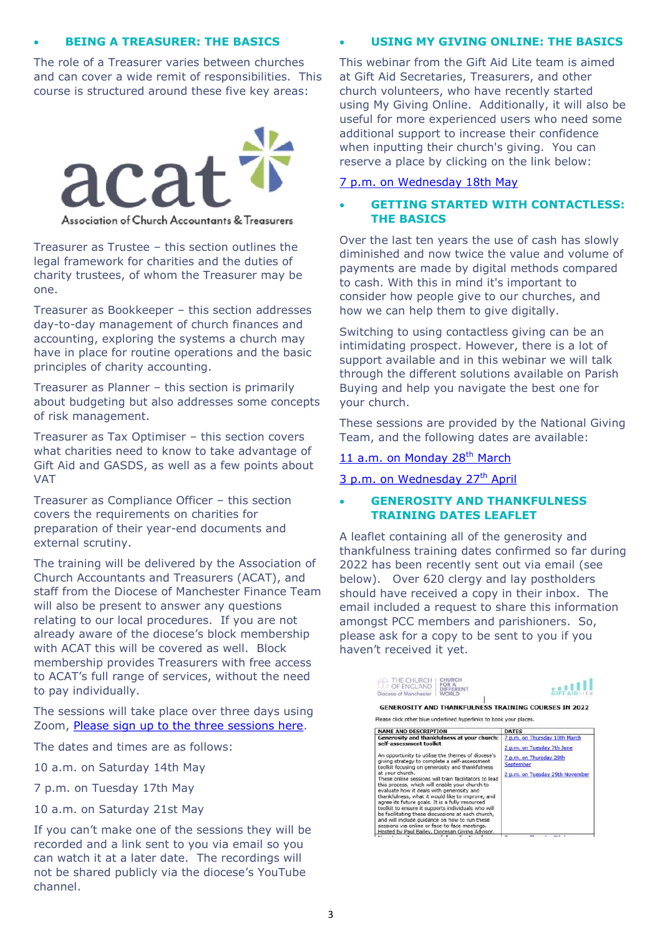### • **BEING A TREASURER: THE BASICS**

The role of a Treasurer varies between churches and can cover a wide remit of responsibilities. This course is structured around these five key areas:



Association of Church Accountants & Treasurers

Treasurer as Trustee – this section outlines the legal framework for charities and the duties of charity trustees, of whom the Treasurer may be one.

Treasurer as Bookkeeper – this section addresses day-to-day management of church finances and accounting, exploring the systems a church may have in place for routine operations and the basic principles of charity accounting.

Treasurer as Planner – this section is primarily about budgeting but also addresses some concepts of risk management.

Treasurer as Tax Optimiser – this section covers what charities need to know to take advantage of Gift Aid and GASDS, as well as a few points about VAT

Treasurer as Compliance Officer – this section covers the requirements on charities for preparation of their year-end documents and external scrutiny.

The training will be delivered by the Association of Church Accountants and Treasurers (ACAT), and staff from the Diocese of Manchester Finance Team will also be present to answer any questions relating to our local procedures. If you are not already aware of the diocese's block membership with ACAT this will be covered as well. Block membership provides Treasurers with free access to ACAT's full range of services, without the need to pay individually.

The sessions will take place over three days using Zoom, [Please sign up to the three sessions here.](https://www.eventbrite.co.uk/e/272779098627)

The dates and times are as follows:

10 a.m. on Saturday 14th May

7 p.m. on Tuesday 17th May

10 a.m. on Saturday 21st May

If you can't make one of the sessions they will be recorded and a link sent to you via email so you can watch it at a later date. The recordings will not be shared publicly via the diocese's YouTube channel.

#### • **USING MY GIVING ONLINE: THE BASICS**

This webinar from the Gift Aid Lite team is aimed at Gift Aid Secretaries, Treasurers, and other church volunteers, who have recently started using My Giving Online. Additionally, it will also be useful for more experienced users who need some additional support to increase their confidence when inputting their church's giving. You can reserve a place by clicking on the link below:

[7 p.m. on Wednesday 18th May](https://www.eventbrite.co.uk/e/296673196517) 

### • **GETTING STARTED WITH CONTACTLESS: THE BASICS**

Over the last ten years the use of cash has slowly diminished and now twice the value and volume of payments are made by digital methods compared to cash. With this in mind it's important to consider how people give to our churches, and how we can help them to give digitally.

Switching to using contactless giving can be an intimidating prospect. However, there is a lot of support available and in this webinar we will talk through the different solutions available on Parish Buying and help you navigate the best one for your church.

These sessions are provided by the National Giving Team, and the following dates are available:

[11 a.m. on Monday 28](https://churchofengland-org.zoom.us/webinar/register/WN_YnuHYJCvQU-DgXzKaMebKQ?fbclid=IwAR0LWvIfqv3fDbc2iFnXbl2I5JEXg8R4qYlPyLInLEuxwy9iGTzwZallo1g)<sup>th</sup> March

[3 p.m. on Wednesday 27](https://churchofengland-org.zoom.us/webinar/register/WN_TG0LeSyTQpWqRpsLh9aNBA?fbclid=IwAR0peLpWkqyxLI71uAvmQeeh_Y6Oiu6qs6QkjpXHvAh-_jsMTe3tI3iMB0o)<sup>th</sup> April

### • **GENEROSITY AND THANKFULNESS TRAINING DATES LEAFLET**

A leaflet containing all of the generosity and thankfulness training dates confirmed so far during 2022 has been recently sent out via email (see below). Over 620 clergy and lay postholders should have received a copy in their inbox. The email included a request to share this information amongst PCC members and parishioners. So, please ask for a copy to be sent to you if you haven't received it yet.

| THE CHURCH<br>OF ENGLAND<br>Diocese of Manchester                                                                                                                                                                                                                                                                                                                                                                                                                                                                                                                                                                                                                                                                                                                                 | CHURCH<br>DIFFERENT<br>WORLD |                                                                                                                                        |
|-----------------------------------------------------------------------------------------------------------------------------------------------------------------------------------------------------------------------------------------------------------------------------------------------------------------------------------------------------------------------------------------------------------------------------------------------------------------------------------------------------------------------------------------------------------------------------------------------------------------------------------------------------------------------------------------------------------------------------------------------------------------------------------|------------------------------|----------------------------------------------------------------------------------------------------------------------------------------|
| Please click other blue underlined hyperlinks to book your places.                                                                                                                                                                                                                                                                                                                                                                                                                                                                                                                                                                                                                                                                                                                |                              | <b>GENEROSITY AND THANKFULNESS TRAINING COURSES IN 2022</b>                                                                            |
| <b>NAME AND DESCRIPTION</b>                                                                                                                                                                                                                                                                                                                                                                                                                                                                                                                                                                                                                                                                                                                                                       |                              | <b>DATES</b>                                                                                                                           |
| Generosity and thankfulness at your church:<br>self-assessment toolkit<br>An opportunity to utilise the themes of diocese's<br>giving strategy to complete a self-assessment<br>toolkit focusing on generosity and thankfulness<br>at your church.<br>These online sessions will train facilitators to lead<br>this process, which will enable your church to<br>evaluate how it deals with generosity and<br>thankfulness, what it would like to improve, and<br>agree its future goals. It is a fully resourced<br>toolkit to ensure it supports individuals who will<br>be facilitating these discussions at each church,<br>and will include quidance on how to run these<br>sessions via online or face-to-face meetings.<br>Hosted by Paul Bailey, Diocesan Giving Advisor. |                              | 7 p.m. on Thursday 10th March<br>2 p.m. on Tuesday 7th June<br>7 p.m. on Thursday 29th<br>September<br>2 p.m. on Tuesday 29th November |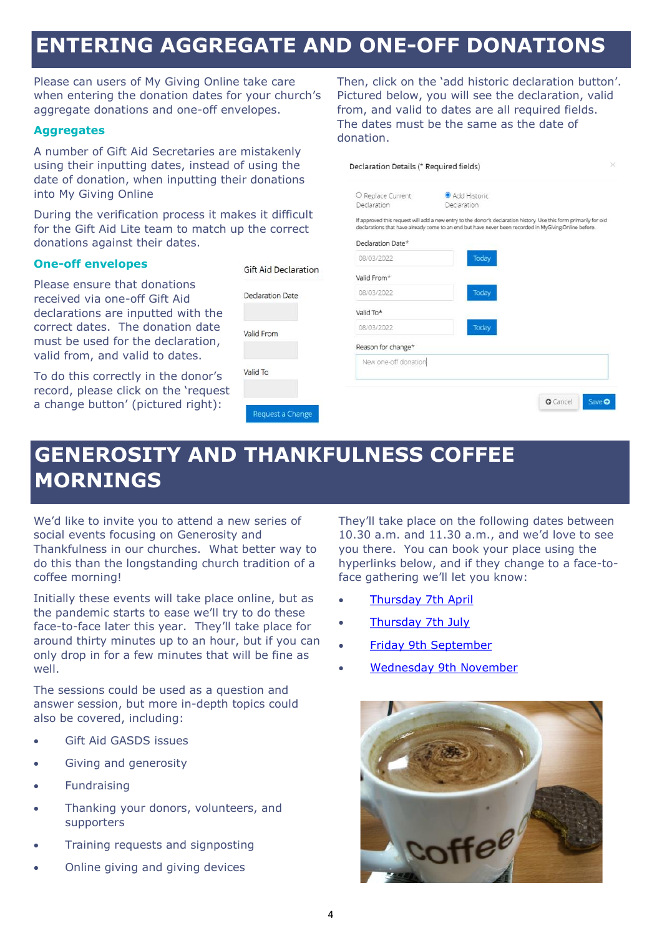### **ENTERING AGGREGATE AND ONE-OFF DONATIONS**

donation.

O Penlace Current

Declaration

Please can users of My Giving Online take care when entering the donation dates for your church's aggregate donations and one-off envelopes.

### **Aggregates**

A number of Gift Aid Secretaries are mistakenly using their inputting dates, instead of using the date of donation, when inputting their donations into My Giving Online

During the verification process it makes it difficult for the Gift Aid Lite team to match up donations against their dates.

#### **One-off envelopes**

Please ensure that donations received via one-off Gift Aid declarations are inputted with the correct dates. The donation date must be used for the declaration, valid from, and valid to dates.

To do this correctly in the donor's record, please click on the 'request a change button' (pictured right):

| the correct             | ii approved this request will add a riew entry to the donor s'ueclaration mistory. Ose this rorm primarily for old<br>declarations that have already come to an end but have never been recorded in MyGiving Online before. |       |                 |        |
|-------------------------|-----------------------------------------------------------------------------------------------------------------------------------------------------------------------------------------------------------------------------|-------|-----------------|--------|
|                         | Declaration Date*                                                                                                                                                                                                           |       |                 |        |
|                         | 08/03/2022                                                                                                                                                                                                                  | Today |                 |        |
| Gift Aid Declaration    | Valid From*                                                                                                                                                                                                                 |       |                 |        |
| <b>Declaration Date</b> | 08/03/2022                                                                                                                                                                                                                  | Today |                 |        |
|                         | Valid To*                                                                                                                                                                                                                   |       |                 |        |
| Valid From              | 08/03/2022                                                                                                                                                                                                                  | Today |                 |        |
|                         | Reason for change*                                                                                                                                                                                                          |       |                 |        |
| Valid To                | New one-off donation                                                                                                                                                                                                        |       |                 |        |
|                         |                                                                                                                                                                                                                             |       |                 |        |
|                         |                                                                                                                                                                                                                             |       | <b>O</b> Cancel | Save O |
| Request a Change        |                                                                                                                                                                                                                             |       |                 |        |

Declaration Details (\* Required fields)

# **GENEROSITY AND THANKFULNESS COFFEE MORNINGS**

We'd like to invite you to attend a new series of social events focusing on Generosity and Thankfulness in our churches. What better way to do this than the longstanding church tradition of a coffee morning!

Initially these events will take place online, but as the pandemic starts to ease we'll try to do these face-to-face later this year. They'll take place for around thirty minutes up to an hour, but if you can only drop in for a few minutes that will be fine as well.

The sessions could be used as a question and answer session, but more in-depth topics could also be covered, including:

- Gift Aid GASDS issues
- Giving and generosity
- **Fundraising**
- Thanking your donors, volunteers, and supporters
- Training requests and signposting
- Online giving and giving devices

They'll take place on the following dates between 10.30 a.m. and 11.30 a.m., and we'd love to see you there. You can book your place using the hyperlinks below, and if they change to a face-toface gathering we'll let you know:

Then, click on the 'add historic declaration button'. Pictured below, you will see the declaration, valid from, and valid to dates are all required fields. The dates must be the same as the date of

Add Historic

Declaration

- [Thursday 7th April](https://www.eventbrite.co.uk/e/274103239167)
- **[Thursday 7th July](https://www.eventbrite.co.uk/e/274107291287)**
- [Friday 9th September](https://www.eventbrite.co.uk/e/274108625277)
- [Wednesday 9th November](https://www.eventbrite.co.uk/e/274109357467)

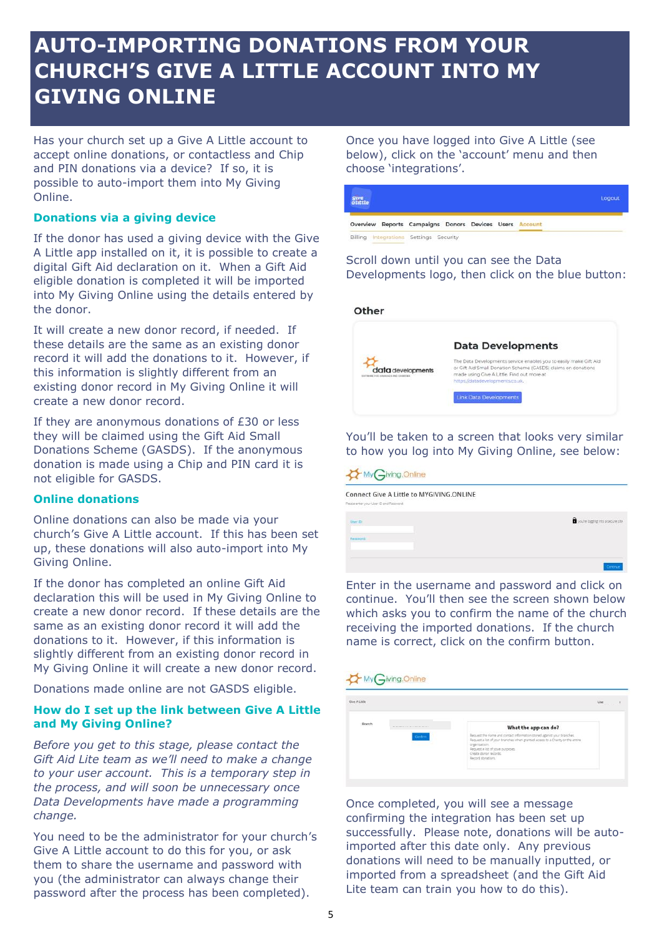## **AUTO-IMPORTING DONATIONS FROM YOUR CHURCH'S GIVE A LITTLE ACCOUNT INTO MY GIVING ONLINE**

Has your church set up a Give A Little account to accept online donations, or contactless and Chip and PIN donations via a device? If so, it is possible to auto-import them into My Giving Online.

### **Donations via a giving device**

If the donor has used a giving device with the Give A Little app installed on it, it is possible to create a digital Gift Aid declaration on it. When a Gift Aid eligible donation is completed it will be imported into My Giving Online using the details entered by the donor.

It will create a new donor record, if needed. If these details are the same as an existing donor record it will add the donations to it. However, if this information is slightly different from an existing donor record in My Giving Online it will create a new donor record.

If they are anonymous donations of £30 or less they will be claimed using the Gift Aid Small Donations Scheme (GASDS). If the anonymous donation is made using a Chip and PIN card it is not eligible for GASDS.

### **Online donations**

Online donations can also be made via your church's Give A Little account. If this has been set up, these donations will also auto-import into My Giving Online.

If the donor has completed an online Gift Aid declaration this will be used in My Giving Online to create a new donor record. If these details are the same as an existing donor record it will add the donations to it. However, if this information is slightly different from an existing donor record in My Giving Online it will create a new donor record.

Donations made online are not GASDS eligible.

### **How do I set up the link between Give A Little and My Giving Online?**

*Before you get to this stage, please contact the Gift Aid Lite team as we'll need to make a change to your user account. This is a temporary step in the process, and will soon be unnecessary once Data Developments have made a programming change.*

You need to be the administrator for your church's Give A Little account to do this for you, or ask them to share the username and password with you (the administrator can always change their password after the process has been completed).

Once you have logged into Give A Little (see below), click on the 'account' menu and then choose 'integrations'.

|                                                         |  |  | Logout |
|---------------------------------------------------------|--|--|--------|
| Overview Reports Campaigns Donors Devices Users Account |  |  |        |
| Billing Integrations Settings Security                  |  |  |        |

#### Scroll down until you can see the Data Developments logo, then click on the blue button:



### You'll be taken to a screen that looks very similar to how you log into My Giving Online, see below:

#### My Giving Online

Connect Give A Little to MYGIVING.ONLINE

| seatting a book company of the control of a grant<br>User ith | $\blacksquare$ you're logging into a secure site |
|---------------------------------------------------------------|--------------------------------------------------|
| Passworth                                                     |                                                  |
|                                                               | Contin                                           |

Enter in the username and password and click on continue. You'll then see the screen shown below which asks you to confirm the name of the church receiving the imported donations. If the church name is correct, click on the confirm button.

| <b>Give A Littler</b>                                                    | Use<br><b>START CONTRACTOR</b>                                                                                                                                                                                                                            |  |
|--------------------------------------------------------------------------|-----------------------------------------------------------------------------------------------------------------------------------------------------------------------------------------------------------------------------------------------------------|--|
| Branch<br>and the property of the control of the control and the control | What the app can do?                                                                                                                                                                                                                                      |  |
| Confirm                                                                  | Request the name and contact information stored against your branches.<br>Request a list of your branches when granted access to a Chanty or the entire<br>organisatioin.<br>Request wint of youe purposes.<br>Create donor records:<br>Record donations. |  |

Once completed, you will see a message confirming the integration has been set up successfully. Please note, donations will be autoimported after this date only. Any previous donations will need to be manually inputted, or imported from a spreadsheet (and the Gift Aid Lite team can train you how to do this).